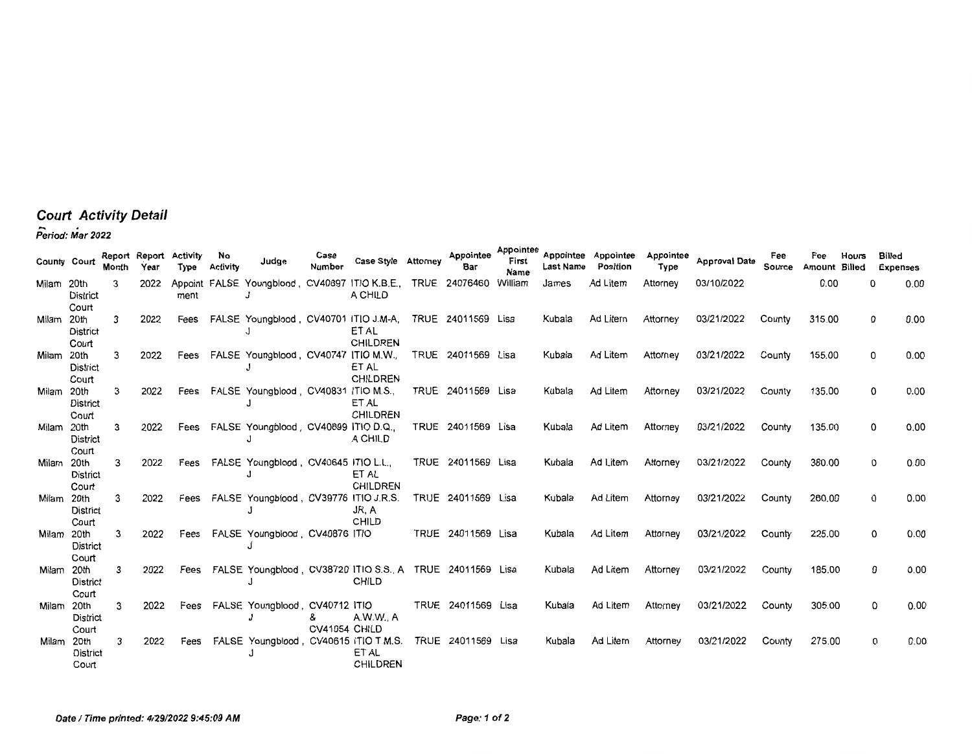## **Court Activity Detail**  - . **Period: Mar 2022**

| County Court |                           | Report Report<br>Month | Үеаг | Activity<br>Type | No<br><b>Activity</b> | Judge                                                     | Case<br><b>Number</b> | Case Style Attorney      | Appointee<br>Bar   | Appointee<br>First<br>Name | <b>Last Name</b> | Appointee Appointee<br>Position | Appointee<br>Type | <b>Approval Date</b> | Fee<br>Source | Fee<br>Amount | Hours<br>Billed | <b>Billed</b><br><b>Expenses</b> |      |
|--------------|---------------------------|------------------------|------|------------------|-----------------------|-----------------------------------------------------------|-----------------------|--------------------------|--------------------|----------------------------|------------------|---------------------------------|-------------------|----------------------|---------------|---------------|-----------------|----------------------------------|------|
| Milam 20th   | District<br>Court         | 3                      | 2022 | ment             |                       | Appoint FALSE Youngblood, CV40897 ITIO K.B.E.,            |                       | A CHILD                  | TRUE 24076460      | William                    | James            | Ad Litem                        | Attorney          | 03/10/2022           |               | 0.00          | O               |                                  | 0.00 |
| Milam        | 20th<br>District<br>Court | 3                      | 2022 | Fees             |                       | FALSE Youngblood, CV40701 ITIO J.M-A,                     |                       | ET AL<br><b>CHILDREN</b> | TRUE 24011569 Lisa |                            | Kubala           | Ad Litem                        | Attorney          | 03/21/2022           | County        | 315.00        | 0               |                                  | 0.00 |
| Milam 20th   | <b>District</b><br>Court  | 3                      | 2022 | Fees             |                       | FALSE Youngblood, CV40747 ITIO M.W.,                      |                       | ET AL<br><b>CHILDREN</b> | TRUE 24011569 Lisa |                            | Kubala           | Ad Litem                        | Attorney          | 03/21/2022           | County        | 155.00        | 0               |                                  | 0.00 |
| Milam 20th   | <b>District</b><br>Court  | 3                      | 2022 | Fees             |                       | FALSE Youngblood, CV40831 ITIO M.S.,                      |                       | ET AL<br><b>CHILDREN</b> | TRUE 24011569 Lisa |                            | Kubala           | Ad Litem                        | Attorney          | 03/21/2022           | County        | 135.00        |                 | 0                                | 0.00 |
| Milam 20th   | District<br>Court         | 3                      | 2022 | Fees             |                       | FALSE Youngblood, CV40899 ITIO D.Q.                       |                       | A CHILD                  | TRUE 24011569 Lisa |                            | Kubala           | Ad Litem                        | Attorney          | 03/21/2022           | County        | 135.00        |                 | 0                                | 0.00 |
| Milam        | 20th<br>District<br>Court | 3                      | 2022 | Fees             |                       | FALSE Youngblood, CV40645 ITIO L.L.,                      |                       | ET AL<br>CHILDREN        | TRUE 24011569 Lisa |                            | Kubala           | Ad Litem                        | Attorney          | 03/21/2022           | County        | 380.00        |                 | 0                                | 0.00 |
| Milam 20th   | District<br>Court         | 3                      | 2022 | Fees             |                       | FALSE Youngblood, CV39776 ITIO J.R.S.                     |                       | JR, A<br>CHILD           | TRUE 24011569 Lisa |                            | Kubala           | Ad Litem                        | Attorney          | 03/21/2022           | County        | 260.00        |                 | 0                                | 0.00 |
| Milam 20th   | District<br>Court         | 3                      | 2022 | Fees             |                       | FALSE Youngblood, CV40876 ITIO                            |                       |                          | TRUE 24011569 Lisa |                            | Kubala           | Ad Litem                        | Attorney          | 03/21/2022           | County        | 225.00        |                 | 0                                | 0.00 |
| Milam 20th   | <b>District</b><br>Court  | 3                      | 2022 | Fees             |                       | FALSE Youngblood, CV38720 ITIO S.S., A TRUE 24011569 Lisa |                       | <b>CHILD</b>             |                    |                            | Kubala           | Ad Litem                        | Attorney          | 03/21/2022           | County        | 185.00        |                 | 0                                | 0.00 |
| Milam 20th   | District<br>Court         | 3                      | 2022 | Fees             |                       | FALSE Youngblood, CV40712 ITIO                            | &<br>CV41054 CHILD    | A.W.W., A                | TRUE 24011569 Lisa |                            | Kubala           | Ad Litem                        | Attorney          | 03/21/2022           | County        | 305.00        |                 | 0                                | 0.00 |
| Milam 20th   | <b>District</b><br>Court  | 3                      | 2022 | Fees             |                       | FALSE Youngblood, CV40615 ITIO T.M.S.                     |                       | ET AL<br><b>CHILDREN</b> | TRUE 24011569 Lisa |                            | Kubala           | Ad Litem                        | Attorney          | 03/21/2022           | County        | 275.00        |                 | 0                                | 0.00 |